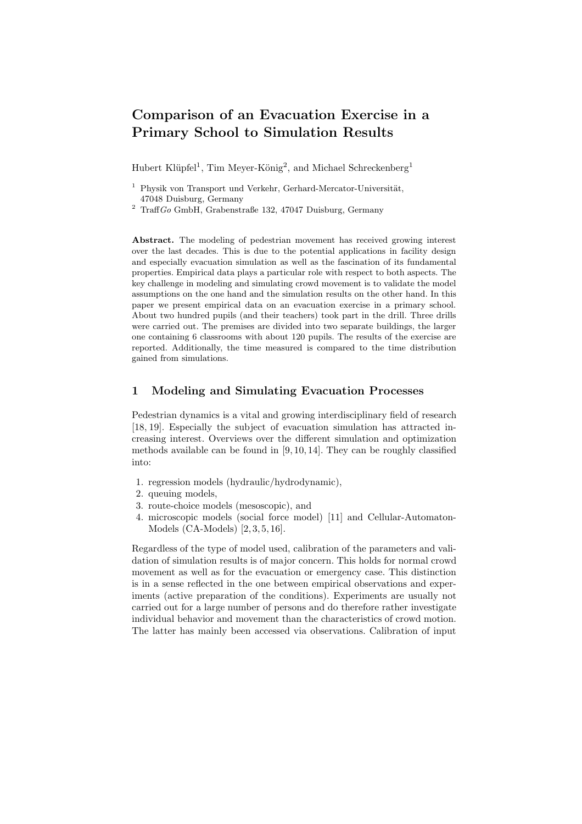# **Comparison of an Evacuation Exercise in a Primary School to Simulation Results**

Hubert Klüpfel<sup>1</sup>, Tim Meyer-König<sup>2</sup>, and Michael Schreckenberg<sup>1</sup>

 $^{\rm 1}$  Physik von Transport und Verkehr, Gerhard-Mercator-Universität, 47048 Duisburg, Germany

<sup>2</sup> Traff*Go* GmbH, Grabenstraße 132, 47047 Duisburg, Germany

**Abstract.** The modeling of pedestrian movement has received growing interest over the last decades. This is due to the potential applications in facility design and especially evacuation simulation as well as the fascination of its fundamental properties. Empirical data plays a particular role with respect to both aspects. The key challenge in modeling and simulating crowd movement is to validate the model assumptions on the one hand and the simulation results on the other hand. In this paper we present empirical data on an evacuation exercise in a primary school. About two hundred pupils (and their teachers) took part in the drill. Three drills were carried out. The premises are divided into two separate buildings, the larger one containing 6 classrooms with about 120 pupils. The results of the exercise are reported. Additionally, the time measured is compared to the time distribution gained from simulations.

## **1 Modeling and Simulating Evacuation Processes**

Pedestrian dynamics is a vital and growing interdisciplinary field of research [18, 19]. Especially the subject of evacuation simulation has attracted increasing interest. Overviews over the different simulation and optimization methods available can be found in [9, 10, 14]. They can be roughly classified into:

- 1. regression models (hydraulic/hydrodynamic),
- 2. queuing models,
- 3. route-choice models (mesoscopic), and
- 4. microscopic models (social force model) [11] and Cellular-Automaton-Models (CA-Models) [2, 3, 5, 16].

Regardless of the type of model used, calibration of the parameters and validation of simulation results is of major concern. This holds for normal crowd movement as well as for the evacuation or emergency case. This distinction is in a sense reflected in the one between empirical observations and experiments (active preparation of the conditions). Experiments are usually not carried out for a large number of persons and do therefore rather investigate individual behavior and movement than the characteristics of crowd motion. The latter has mainly been accessed via observations. Calibration of input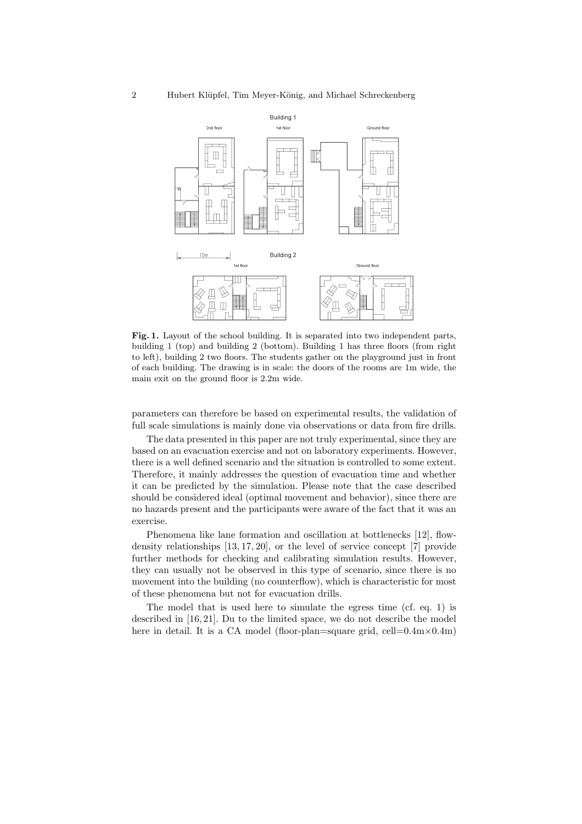#### 2 Hubert Klüpfel, Tim Meyer-König, and Michael Schreckenberg



**Fig. 1.** Layout of the school building. It is separated into two independent parts, building 1 (top) and building 2 (bottom). Building 1 has three floors (from right to left), building 2 two floors. The students gather on the playground just in front of each building. The drawing is in scale: the doors of the rooms are 1m wide, the main exit on the ground floor is 2.2m wide.

parameters can therefore be based on experimental results, the validation of full scale simulations is mainly done via observations or data from fire drills.

The data presented in this paper are not truly experimental, since they are based on an evacuation exercise and not on laboratory experiments. However, there is a well defined scenario and the situation is controlled to some extent. Therefore, it mainly addresses the question of evacuation time and whether it can be predicted by the simulation. Please note that the case described should be considered ideal (optimal movement and behavior), since there are no hazards present and the participants were aware of the fact that it was an exercise.

Phenomena like lane formation and oscillation at bottlenecks [12], flowdensity relationships [13, 17, 20], or the level of service concept [7] provide further methods for checking and calibrating simulation results. However, they can usually not be observed in this type of scenario, since there is no movement into the building (no counterflow), which is characteristic for most of these phenomena but not for evacuation drills.

The model that is used here to simulate the egress time (cf. eq. 1) is described in [16, 21]. Du to the limited space, we do not describe the model here in detail. It is a CA model (floor-plan=square grid, cell= $0.4 \text{m} \times 0.4 \text{m}$ )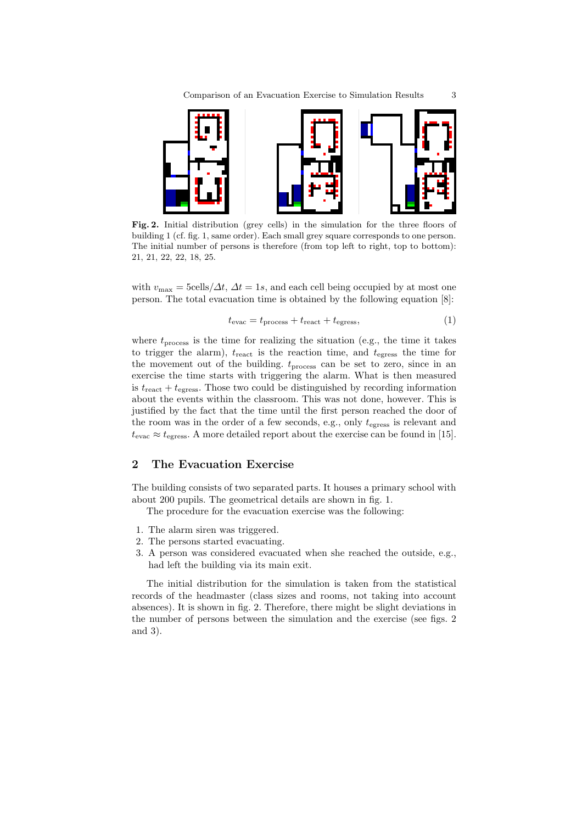

**Fig. 2.** Initial distribution (grey cells) in the simulation for the three floors of building 1 (cf. fig. 1, same order). Each small grey square corresponds to one person. The initial number of persons is therefore (from top left to right, top to bottom): 21, 21, 22, 22, 18, 25.

with  $v_{\text{max}} = 5 \text{cells}/\Delta t$ ,  $\Delta t = 1s$ , and each cell being occupied by at most one person. The total evacuation time is obtained by the following equation [8]:

$$
t_{\text{evac}} = t_{\text{process}} + t_{\text{react}} + t_{\text{egress}},\tag{1}
$$

where  $t_{\text{process}}$  is the time for realizing the situation (e.g., the time it takes to trigger the alarm),  $t_{\text{react}}$  is the reaction time, and  $t_{\text{egress}}$  the time for the movement out of the building.  $t_{\text{process}}$  can be set to zero, since in an exercise the time starts with triggering the alarm. What is then measured is  $t_{\text{react}} + t_{\text{egress}}$ . Those two could be distinguished by recording information about the events within the classroom. This was not done, however. This is justified by the fact that the time until the first person reached the door of the room was in the order of a few seconds, e.g., only  $t_{\text{egress}}$  is relevant and  $t_{\text{evac}} \approx t_{\text{egress}}$ . A more detailed report about the exercise can be found in [15].

## **2 The Evacuation Exercise**

The building consists of two separated parts. It houses a primary school with about 200 pupils. The geometrical details are shown in fig. 1.

The procedure for the evacuation exercise was the following:

- 1. The alarm siren was triggered.
- 2. The persons started evacuating.
- 3. A person was considered evacuated when she reached the outside, e.g., had left the building via its main exit.

The initial distribution for the simulation is taken from the statistical records of the headmaster (class sizes and rooms, not taking into account absences). It is shown in fig. 2. Therefore, there might be slight deviations in the number of persons between the simulation and the exercise (see figs. 2 and 3).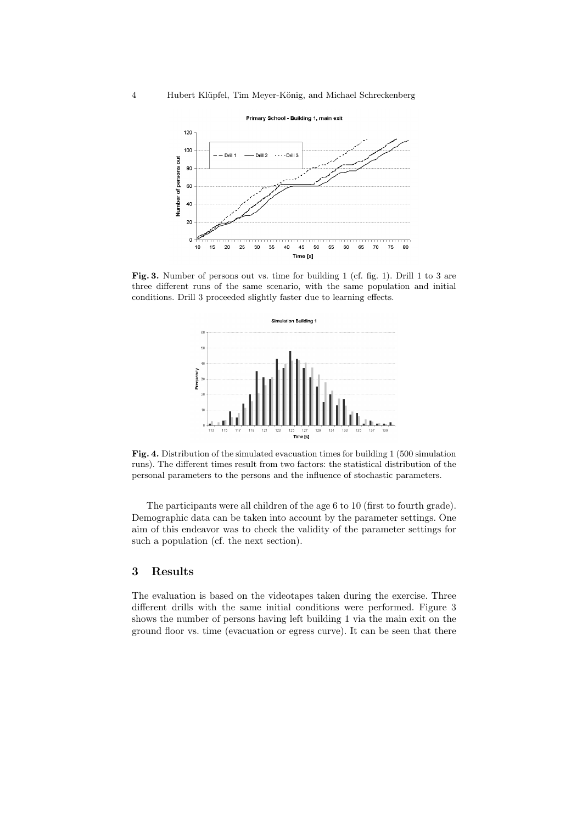

Fig. 3. Number of persons out vs. time for building 1 (cf. fig. 1). Drill 1 to 3 are three different runs of the same scenario, with the same population and initial conditions. Drill 3 proceeded slightly faster due to learning effects.



**Fig. 4.** Distribution of the simulated evacuation times for building 1 (500 simulation runs). The different times result from two factors: the statistical distribution of the personal parameters to the persons and the influence of stochastic parameters.

The participants were all children of the age 6 to 10 (first to fourth grade). Demographic data can be taken into account by the parameter settings. One aim of this endeavor was to check the validity of the parameter settings for such a population (cf. the next section).

# **3 Results**

The evaluation is based on the videotapes taken during the exercise. Three different drills with the same initial conditions were performed. Figure 3 shows the number of persons having left building 1 via the main exit on the ground floor vs. time (evacuation or egress curve). It can be seen that there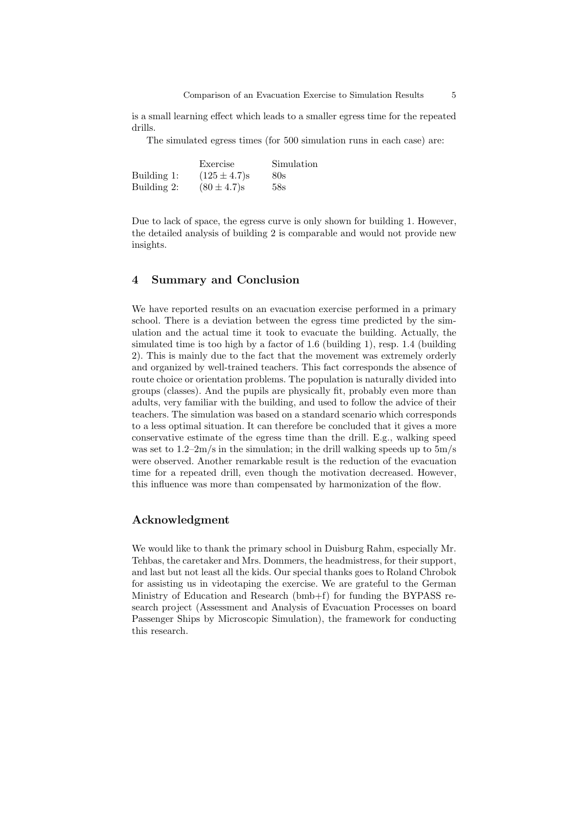is a small learning effect which leads to a smaller egress time for the repeated drills.

The simulated egress times (for 500 simulation runs in each case) are:

|             | Exercise          | Simulation |
|-------------|-------------------|------------|
| Building 1: | $(125 \pm 4.7)$ s | 80s        |
| Building 2: | $(80 \pm 4.7)$ s  | 58s        |

Due to lack of space, the egress curve is only shown for building 1. However, the detailed analysis of building 2 is comparable and would not provide new insights.

## **4 Summary and Conclusion**

We have reported results on an evacuation exercise performed in a primary school. There is a deviation between the egress time predicted by the simulation and the actual time it took to evacuate the building. Actually, the simulated time is too high by a factor of 1.6 (building 1), resp. 1.4 (building 2). This is mainly due to the fact that the movement was extremely orderly and organized by well-trained teachers. This fact corresponds the absence of route choice or orientation problems. The population is naturally divided into groups (classes). And the pupils are physically fit, probably even more than adults, very familiar with the building, and used to follow the advice of their teachers. The simulation was based on a standard scenario which corresponds to a less optimal situation. It can therefore be concluded that it gives a more conservative estimate of the egress time than the drill. E.g., walking speed was set to  $1.2-2m/s$  in the simulation; in the drill walking speeds up to  $5m/s$ were observed. Another remarkable result is the reduction of the evacuation time for a repeated drill, even though the motivation decreased. However, this influence was more than compensated by harmonization of the flow.

## **Acknowledgment**

We would like to thank the primary school in Duisburg Rahm, especially Mr. Tehbas, the caretaker and Mrs. Dommers, the headmistress, for their support, and last but not least all the kids. Our special thanks goes to Roland Chrobok for assisting us in videotaping the exercise. We are grateful to the German Ministry of Education and Research (bmb+f) for funding the BYPASS research project (Assessment and Analysis of Evacuation Processes on board Passenger Ships by Microscopic Simulation), the framework for conducting this research.